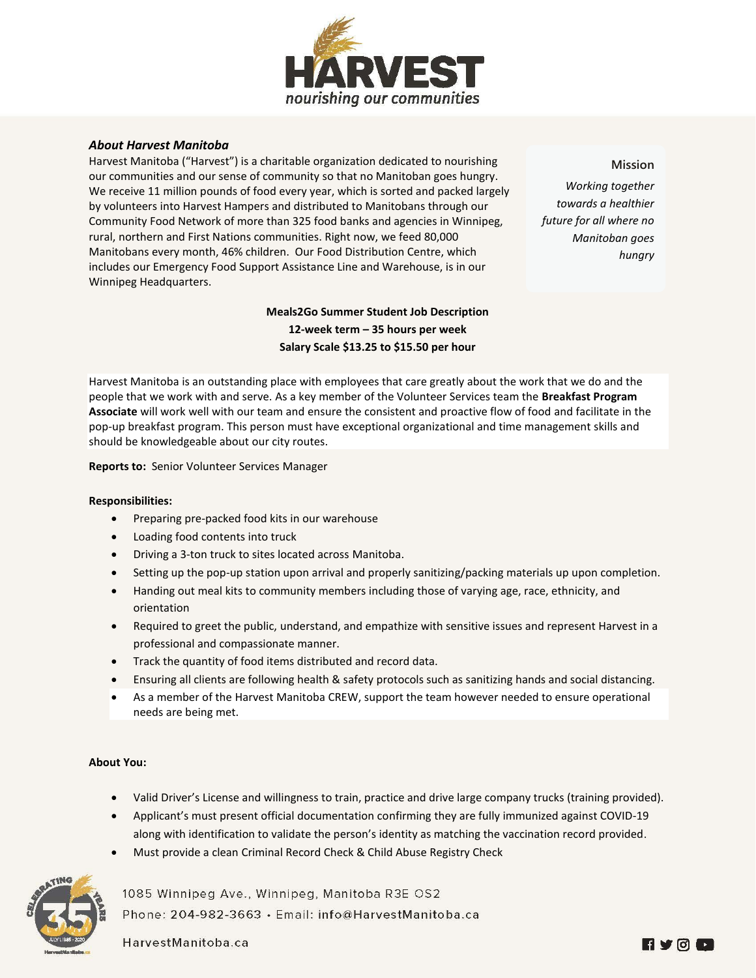

## *About Harvest Manitoba*

Harvest Manitoba ("Harvest") is a charitable organization dedicated to nourishing our communities and our sense of community so that no Manitoban goes hungry. We receive 11 million pounds of food every year, which is sorted and packed largely by volunteers into Harvest Hampers and distributed to Manitobans through our Community Food Network of more than 325 food banks and agencies in Winnipeg, rural, northern and First Nations communities. Right now, we feed 80,000 Manitobans every month, 46% children. Our Food Distribution Centre, which includes our Emergency Food Support Assistance Line and Warehouse, is in our Winnipeg Headquarters.

> **Meals2Go Summer Student Job Description 12-week term – 35 hours per week Salary Scale \$13.25 to \$15.50 per hour**

**Mission**

*Working together towards a healthier future for all where no Manitoban goes hungry*

Harvest Manitoba is an outstanding place with employees that care greatly about the work that we do and the people that we work with and serve. As a key member of the Volunteer Services team the **Breakfast Program Associate** will work well with our team and ensure the consistent and proactive flow of food and facilitate in the pop-up breakfast program. This person must have exceptional organizational and time management skills and should be knowledgeable about our city routes.

**Reports to:** Senior Volunteer Services Manager

## **Responsibilities:**

- Preparing pre-packed food kits in our warehouse
- Loading food contents into truck
- Driving a 3-ton truck to sites located across Manitoba.
- Setting up the pop-up station upon arrival and properly sanitizing/packing materials up upon completion.
- Handing out meal kits to community members including those of varying age, race, ethnicity, and orientation
- Required to greet the public, understand, and empathize with sensitive issues and represent Harvest in a professional and compassionate manner.
- Track the quantity of food items distributed and record data.
- Ensuring all clients are following health & safety protocols such as sanitizing hands and social distancing.
- As a member of the Harvest Manitoba CREW, support the team however needed to ensure operational needs are being met.

## **About You:**

- Valid Driver's License and willingness to train, practice and drive large company trucks (training provided).
- Applicant's must present official documentation confirming they are fully immunized against COVID-19 along with identification to validate the person's identity as matching the vaccination record provided.
- Must provide a clean Criminal Record Check & Child Abuse Registry Check



1085 Winnipeg Ave., Winnipeg, Manitoba R3E OS2 Phone: 204-982-3663 · Email: info@HarvestManitoba.ca

HarvestManitoba.ca